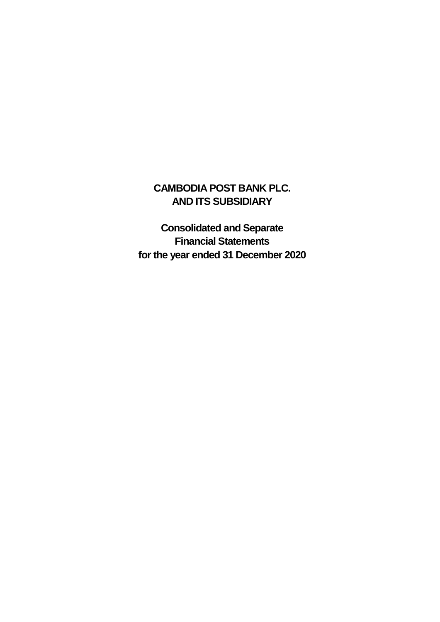### **CAMBODIA POST BANK PLC. AND ITS SUBSIDIARY**

**Consolidated and Separate Financial Statements for the year ended 31 December 2020**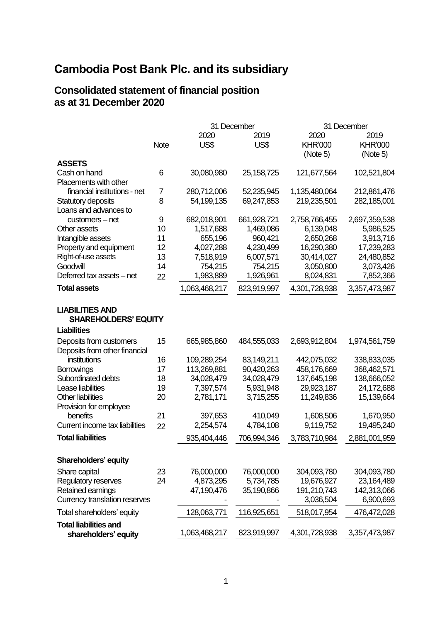#### **Consolidated statement of financial position as at 31 December 2020**

|                                                                             |             |                        | 31 December            | 31 December                        |                                    |  |
|-----------------------------------------------------------------------------|-------------|------------------------|------------------------|------------------------------------|------------------------------------|--|
|                                                                             | <b>Note</b> | 2020<br>US\$           | 2019<br>US\$           | 2020<br><b>KHR'000</b><br>(Note 5) | 2019<br><b>KHR'000</b><br>(Note 5) |  |
| <b>ASSETS</b>                                                               |             |                        |                        |                                    |                                    |  |
| Cash on hand                                                                | 6           | 30,080,980             | 25, 158, 725           | 121,677,564                        | 102,521,804                        |  |
| Placements with other                                                       |             |                        |                        |                                    |                                    |  |
| financial institutions - net                                                | 7           | 280,712,006            | 52,235,945             | 1,135,480,064                      | 212,861,476                        |  |
| Statutory deposits                                                          | 8           | 54,199,135             | 69,247,853             | 219,235,501                        | 282,185,001                        |  |
| Loans and advances to                                                       |             |                        |                        |                                    |                                    |  |
| customers - net                                                             | 9           | 682,018,901            | 661,928,721            | 2,758,766,455                      | 2,697,359,538                      |  |
| Other assets                                                                | 10          | 1,517,688              | 1,469,086              | 6,139,048                          | 5,986,525                          |  |
| Intangible assets                                                           | 11          | 655,196                | 960,421                | 2,650,268                          | 3,913,716                          |  |
| Property and equipment<br>Right-of-use assets                               | 12<br>13    | 4,027,288<br>7,518,919 | 4,230,499<br>6,007,571 | 16,290,380<br>30,414,027           | 17,239,283<br>24,480,852           |  |
| Goodwill                                                                    | 14          | 754,215                | 754,215                | 3,050,800                          | 3,073,426                          |  |
| Deferred tax assets - net                                                   | 22          | 1,983,889              | 1,926,961              | 8,024,831                          | 7,852,366                          |  |
|                                                                             |             |                        |                        |                                    |                                    |  |
| <b>Total assets</b>                                                         |             | 1,063,468,217          | 823,919,997            | 4,301,728,938                      | 3,357,473,987                      |  |
| <b>LIABILITIES AND</b><br><b>SHAREHOLDERS' EQUITY</b><br><b>Liabilities</b> |             |                        |                        |                                    |                                    |  |
|                                                                             |             |                        |                        |                                    |                                    |  |
| Deposits from customers                                                     | 15          | 665,985,860            | 484,555,033            | 2,693,912,804                      | 1,974,561,759                      |  |
| Deposits from other financial<br>institutions                               | 16          | 109,289,254            | 83,149,211             | 442,075,032                        | 338,833,035                        |  |
| <b>Borrowings</b>                                                           | 17          | 113,269,881            | 90,420,263             | 458,176,669                        | 368,462,571                        |  |
| Subordinated debts                                                          | 18          | 34,028,479             | 34,028,479             | 137,645,198                        | 138,666,052                        |  |
| Lease liabilities                                                           | 19          | 7,397,574              | 5,931,948              | 29,923,187                         | 24,172,688                         |  |
| <b>Other liabilities</b>                                                    | 20          | 2,781,171              | 3,715,255              | 11,249,836                         | 15,139,664                         |  |
| Provision for employee                                                      |             |                        |                        |                                    |                                    |  |
| benefits                                                                    | 21          | 397,653                | 410,049                | 1,608,506                          | 1,670,950                          |  |
| Current income tax liabilities                                              | 22          | 2,254,574              | 4,784,108              | 9,119,752                          | 19,495,240                         |  |
| <b>Total liabilities</b>                                                    |             | 935,404,446            | 706,994,346            | 3,783,710,984                      | 2,881,001,959                      |  |
|                                                                             |             |                        |                        |                                    |                                    |  |
| Shareholders' equity                                                        |             |                        |                        |                                    |                                    |  |
| Share capital                                                               | 23          | 76,000,000             | 76,000,000             | 304,093,780                        | 304,093,780                        |  |
| Regulatory reserves                                                         | 24          | 4,873,295              | 5,734,785              | 19,676,927                         | 23,164,489                         |  |
| Retained earnings                                                           |             | 47,190,476             | 35,190,866             | 191,210,743                        | 142,313,066                        |  |
| Currency translation reserves                                               |             |                        |                        | 3,036,504                          | 6,900,693                          |  |
| Total shareholders' equity                                                  |             | 128,063,771            | 116,925,651            | 518,017,954                        | 476,472,028                        |  |
| <b>Total liabilities and</b><br>shareholders' equity                        |             | 1,063,468,217          | 823,919,997            | 4,301,728,938                      | 3,357,473,987                      |  |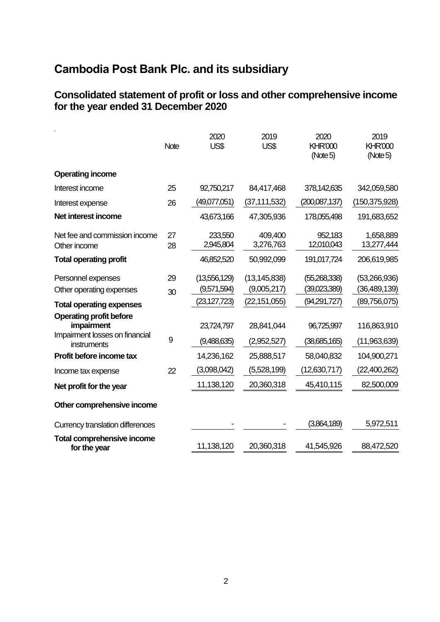#### **Consolidated statement of profit or loss and other comprehensive income for the year ended 31 December 2020**

|                                                                                | <b>Note</b> | 2020<br>US\$                | 2019<br>US\$                  | 2020<br><b>KHR'000</b><br>(Note 5) | 2019<br><b>KHR'000</b><br>(Note 5) |
|--------------------------------------------------------------------------------|-------------|-----------------------------|-------------------------------|------------------------------------|------------------------------------|
| <b>Operating income</b>                                                        |             |                             |                               |                                    |                                    |
| Interest income                                                                | 25          | 92,750,217                  | 84,417,468                    | 378,142,635                        | 342,059,580                        |
| Interest expense                                                               | 26          | (49,077,051)                | (37, 111, 532)                | (200,087,137)                      | (150, 375, 928)                    |
| Net interest income                                                            |             | 43,673,166                  | 47,305,936                    | 178,055,498                        | 191,683,652                        |
| Net fee and commission income<br>Other income                                  | 27<br>28    | 233,550<br>2,945,804        | 409,400<br>3,276,763          | 952,183<br>12,010,043              | 1,658,889<br>13,277,444            |
| <b>Total operating profit</b>                                                  |             | 46,852,520                  | 50,992,099                    | 191,017,724                        | 206,619,985                        |
| Personnel expenses<br>Other operating expenses                                 | 29<br>30    | (13,556,129)<br>(9,571,594) | (13, 145, 838)<br>(9,005,217) | (55,268,338)<br>(39,023,389)       | (53,266,936)<br>(36, 489, 139)     |
| <b>Total operating expenses</b>                                                |             | (23, 127, 723)              | (22, 151, 055)                | (94,291,727)                       | (89,756,075)                       |
| <b>Operating profit before</b><br>impairment<br>Impairment losses on financial | 9           | 23,724,797<br>(9,488,635)   | 28,841,044<br>(2,952,527)     | 96,725,997<br>(38,685,165)         | 116,863,910<br>(11,963,639)        |
| instruments                                                                    |             |                             |                               |                                    |                                    |
| Profit before income tax                                                       |             | 14,236,162                  | 25,888,517                    | 58,040,832                         | 104,900,271                        |
| Income tax expense                                                             | 22          | (3,098,042)                 | (5,528,199)                   | (12,630,717)                       | (22,400,262)                       |
| Net profit for the year                                                        |             | 11,138,120                  | 20,360,318                    | 45,410,115                         | 82,500,009                         |
| Other comprehensive income                                                     |             |                             |                               |                                    |                                    |
| <b>Currency translation differences</b>                                        |             |                             |                               | (3,864,189)                        | 5,972,511                          |
| <b>Total comprehensive income</b><br>for the year                              |             | 11,138,120                  | 20,360,318                    | 41,545,926                         | 88,472,520                         |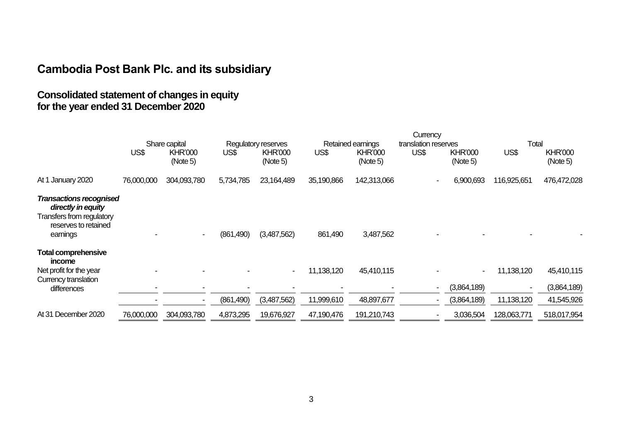#### **Consolidated statement of changes in equity for the year ended 31 December 2020**

|                                                                                                                       |            |                            |            |                            | Currency                 |                            |                      |                            |                          |                                         |
|-----------------------------------------------------------------------------------------------------------------------|------------|----------------------------|------------|----------------------------|--------------------------|----------------------------|----------------------|----------------------------|--------------------------|-----------------------------------------|
|                                                                                                                       |            | Share capital              |            | Regulatory reserves        |                          | Retained earnings          | translation reserves |                            | Total                    |                                         |
|                                                                                                                       | US\$       | <b>KHR'000</b><br>(Note 5) | US\$       | <b>KHR'000</b><br>(Note 5) | US\$                     | <b>KHR'000</b><br>(Note 5) | US\$                 | <b>KHR'000</b><br>(Note 5) | US\$                     | <b>KHR'000</b><br>(Note 5)              |
| At 1 January 2020                                                                                                     | 76,000,000 | 304,093,780                | 5,734,785  | 23,164,489                 | 35,190,866               | 142,313,066                |                      | 6,900,693                  | 116,925,651              | 476,472,028                             |
| <b>Transactions recognised</b><br>directly in equity<br>Transfers from regulatory<br>reserves to retained<br>earnings |            |                            | (861, 490) | (3,487,562)                | 861,490                  | 3,487,562                  |                      |                            |                          |                                         |
| <b>Total comprehensive</b><br>income<br>Net profit for the year<br>Currency translation<br>differences                |            |                            | (861, 490) | (3,487,562)                | 11,138,120<br>11,999,610 | 45,410,115<br>48,897,677   |                      | (3,864,189)<br>(3,864,189) | 11,138,120<br>11,138,120 | 45,410,115<br>(3,864,189)<br>41,545,926 |
| At 31 December 2020                                                                                                   | 76,000,000 | 304,093,780                | 4,873,295  | 19,676,927                 | 47,190,476               | 191,210,743                |                      | 3,036,504                  | 128,063,771              | 518,017,954                             |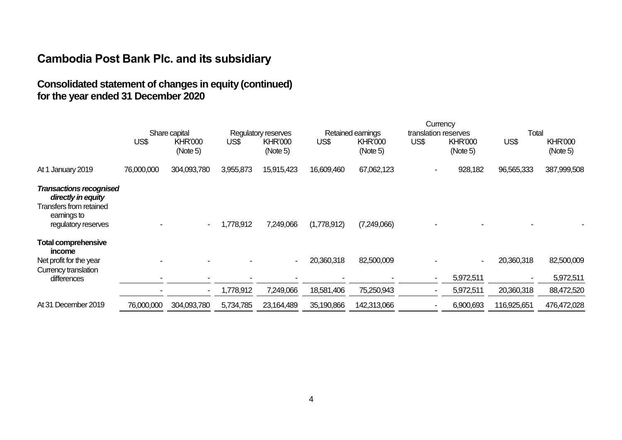### **Consolidated statement of changes in equity (continued) for the year ended 31 December 2020**

|                                                                                                                       |            |                            |           |                             | Currency                 |                            |                                  |                            |                          |                                       |
|-----------------------------------------------------------------------------------------------------------------------|------------|----------------------------|-----------|-----------------------------|--------------------------|----------------------------|----------------------------------|----------------------------|--------------------------|---------------------------------------|
|                                                                                                                       |            | Share capital              |           | Regulatory reserves         |                          | Retained earnings          | translation reserves             |                            | Total                    |                                       |
|                                                                                                                       | US\$       | <b>KHR'000</b><br>(Note 5) | US\$      | <b>KHR'000</b><br>(Note 5)  | US\$                     | <b>KHR'000</b><br>(Note 5) | US\$                             | <b>KHR'000</b><br>(Note 5) | US\$                     | <b>KHR'000</b><br>(Note 5)            |
| At 1 January 2019                                                                                                     | 76,000,000 | 304,093,780                | 3,955,873 | 15,915,423                  | 16,609,460               | 67,062,123                 | $\blacksquare$                   | 928,182                    | 96,565,333               | 387,999,508                           |
| <b>Transactions recognised</b><br>directly in equity<br>Transfers from retained<br>earnings to<br>regulatory reserves |            | $\blacksquare$             | 1,778,912 | 7,249,066                   | (1,778,912)              | (7,249,066)                |                                  |                            |                          |                                       |
| <b>Total comprehensive</b><br>income<br>Net profit for the year<br>Currency translation<br>differences                |            | $\blacksquare$             | 1,778,912 | $\blacksquare$<br>7,249,066 | 20,360,318<br>18,581,406 | 82,500,009<br>75,250,943   | $\blacksquare$<br>$\blacksquare$ | 5,972,511<br>5,972,511     | 20,360,318<br>20,360,318 | 82,500,009<br>5,972,511<br>88,472,520 |
| At 31 December 2019                                                                                                   | 76,000,000 | 304,093,780                | 5,734,785 | 23,164,489                  | 35,190,866               | 142,313,066                | $\blacksquare$                   | 6,900,693                  | 116,925,651              | 476,472,028                           |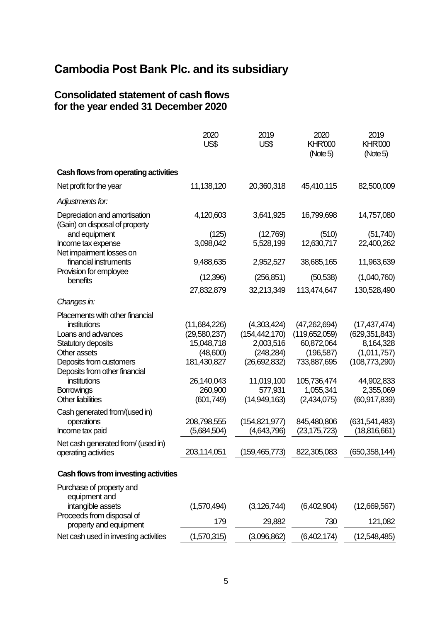#### **Consolidated statement of cash flows for the year ended 31 December 2020**

|                                                                 | 2020<br>US\$                 | 2019<br>US\$                   | 2020<br><b>KHR'000</b><br>(Note 5) | 2019<br><b>KHR'000</b><br>(Note 5) |
|-----------------------------------------------------------------|------------------------------|--------------------------------|------------------------------------|------------------------------------|
| Cash flows from operating activities                            |                              |                                |                                    |                                    |
| Net profit for the year                                         | 11,138,120                   | 20,360,318                     | 45,410,115                         | 82,500,009                         |
| Adjustments for:                                                |                              |                                |                                    |                                    |
| Depreciation and amortisation<br>(Gain) on disposal of property | 4,120,603                    | 3,641,925                      | 16,799,698                         | 14,757,080                         |
| and equipment                                                   | (125)                        | (12,769)                       | (510)                              | (51, 740)                          |
| Income tax expense<br>Net impairment losses on                  | 3,098,042                    | 5,528,199                      | 12,630,717                         | 22,400,262                         |
| financial instruments                                           | 9,488,635                    | 2,952,527                      | 38,685,165                         | 11,963,639                         |
| Provision for employee<br>benefits                              | (12, 396)                    | (256, 851)                     | (50, 538)                          | (1,040,760)                        |
|                                                                 | 27,832,879                   | 32,213,349                     | 113,474,647                        | 130,528,490                        |
| Changes in:                                                     |                              |                                |                                    |                                    |
| Placements with other financial                                 |                              |                                |                                    |                                    |
| institutions<br>Loans and advances                              | (11,684,226)<br>(29,580,237) | (4,303,424)<br>(154, 442, 170) | (47,262,694)<br>(119,652,059)      | (17, 437, 474)<br>(629, 351, 843)  |
| Statutory deposits                                              | 15,048,718                   | 2,003,516                      | 60,872,064                         | 8,164,328                          |
| Other assets                                                    | (48,600)                     | (248, 284)                     | (196, 587)                         | (1,011,757)                        |
| Deposits from customers                                         | 181,430,827                  | (26,692,832)                   | 733,887,695                        | (108, 773, 290)                    |
| Deposits from other financial                                   |                              |                                |                                    |                                    |
| institutions                                                    | 26,140,043                   | 11,019,100                     | 105,736,474                        | 44,902,833                         |
| Borrowings                                                      | 260,900                      | 577,931                        | 1,055,341                          | 2,355,069                          |
| <b>Other liabilities</b>                                        | (601, 749)                   | (14,949,163)                   | (2,434,075)                        | (60,917,839)                       |
| Cash generated from/(used in)                                   |                              |                                |                                    |                                    |
| operations                                                      | 208,798,555                  | (154, 821, 977)                | 845,480,806                        | (631, 541, 483)                    |
| Income tax paid                                                 | (5,684,504)                  | (4,643,796)                    | (23,175,723)                       | (18,816,661)                       |
| Net cash generated from/ (used in)                              |                              |                                |                                    |                                    |
| operating activities                                            | 203,114,051                  | (159,465,773)                  | 822,305,083                        | (650, 358, 144)                    |
| Cash flows from investing activities                            |                              |                                |                                    |                                    |
| Purchase of property and<br>equipment and                       |                              |                                |                                    |                                    |
| intangible assets                                               | (1,570,494)                  | (3, 126, 744)                  | (6,402,904)                        | (12,669,567)                       |
| Proceeds from disposal of<br>property and equipment             | 179                          | 29,882                         | 730                                | 121,082                            |
| Net cash used in investing activities                           | (1,570,315)                  | (3,096,862)                    | (6,402,174)                        | (12,548,485)                       |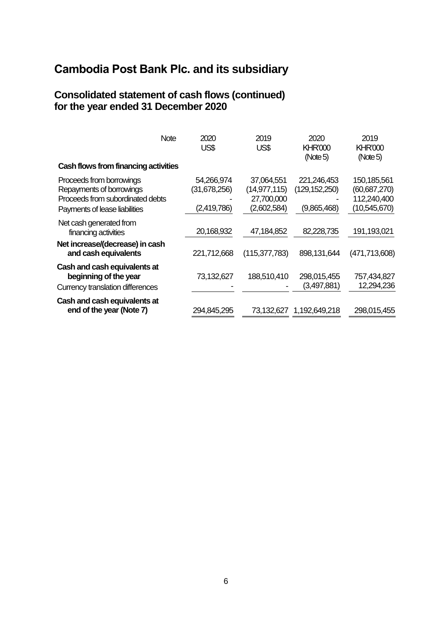#### **Consolidated statement of cash flows (continued) for the year ended 31 December 2020**

| <b>Note</b>                                                                                                               | 2020<br>US\$                              | 2019<br>US\$                                              | 2020<br><b>KHR'000</b><br>(Note 5)            | 2019<br><b>KHR'000</b><br>(Note 5)                         |
|---------------------------------------------------------------------------------------------------------------------------|-------------------------------------------|-----------------------------------------------------------|-----------------------------------------------|------------------------------------------------------------|
| Cash flows from financing activities                                                                                      |                                           |                                                           |                                               |                                                            |
| Proceeds from borrowings<br>Repayments of borrowings<br>Proceeds from subordinated debts<br>Payments of lease liabilities | 54,266,974<br>(31,678,256)<br>(2,419,786) | 37,064,551<br>(14, 977, 115)<br>27,700,000<br>(2,602,584) | 221,246,453<br>(129, 152, 250)<br>(9,865,468) | 150,185,561<br>(60,687,270)<br>112,240,400<br>(10,545,670) |
| Net cash generated from<br>financing activities<br>Net increase/(decrease) in cash<br>and cash equivalents                | 20,168,932<br>221,712,668                 | 47,184,852<br>(115, 377, 783)                             | 82,228,735<br>898,131,644                     | 191,193,021<br>(471,713,608)                               |
| Cash and cash equivalents at<br>beginning of the year<br>Currency translation differences                                 | 73,132,627                                | 188,510,410                                               | 298,015,455<br>(3,497,881)                    | 757,434,827<br>12,294,236                                  |
| Cash and cash equivalents at<br>end of the year (Note 7)                                                                  | 294,845,295                               | 73,132,627                                                | 1,192,649,218                                 | 298,015,455                                                |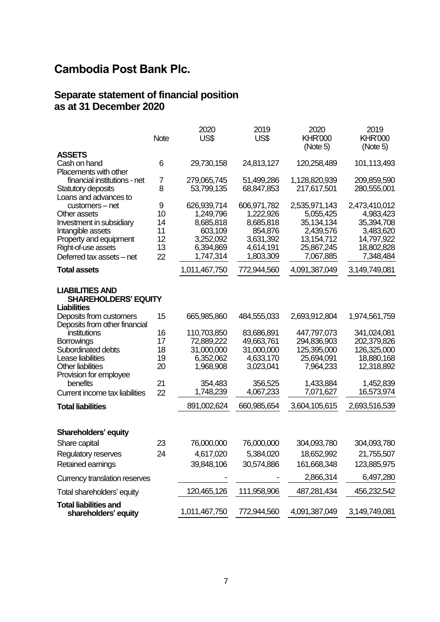#### **Separate statement of financial position as at 31 December 2020**

|                                                                                                                                                                | <b>Note</b>                           | 2020<br>US\$                                                                            | 2019<br>US\$                                                                            | 2020<br><b>KHR'000</b><br>(Note 5)                                                               | 2019<br><b>KHR'000</b><br>(Note 5)                                                             |
|----------------------------------------------------------------------------------------------------------------------------------------------------------------|---------------------------------------|-----------------------------------------------------------------------------------------|-----------------------------------------------------------------------------------------|--------------------------------------------------------------------------------------------------|------------------------------------------------------------------------------------------------|
| <b>ASSETS</b>                                                                                                                                                  |                                       |                                                                                         |                                                                                         |                                                                                                  |                                                                                                |
| Cash on hand<br><b>Placements with other</b>                                                                                                                   | 6                                     | 29,730,158                                                                              | 24,813,127                                                                              | 120,258,489                                                                                      | 101,113,493                                                                                    |
| financial institutions - net<br>Statutory deposits<br>Loans and advances to                                                                                    | 7<br>8                                | 279,065,745<br>53,799,135                                                               | 51,499,286<br>68,847,853                                                                | 1,128,820,939<br>217,617,501                                                                     | 209,859,590<br>280,555,001                                                                     |
| customers - net<br>Other assets<br>Investment in subsidiary<br>Intangible assets<br>Property and equipment<br>Right-of-use assets<br>Deferred tax assets - net | 9<br>10<br>14<br>11<br>12<br>13<br>22 | 626,939,714<br>1,249,796<br>8,685,818<br>603,109<br>3,252,092<br>6,394,869<br>1,747,314 | 606,971,782<br>1,222,926<br>8,685,818<br>854,876<br>3,631,392<br>4,614,191<br>1,803,309 | 2,535,971,143<br>5,055,425<br>35, 134, 134<br>2,439,576<br>13,154,712<br>25,867,245<br>7,067,885 | 2,473,410,012<br>4,983,423<br>35,394,708<br>3,483,620<br>14,797,922<br>18,802,828<br>7,348,484 |
| <b>Total assets</b>                                                                                                                                            |                                       | 1,011,467,750                                                                           | 772,944,560                                                                             | 4,091,387,049                                                                                    | 3,149,749,081                                                                                  |
| <b>LIABILITIES AND</b><br><b>SHAREHOLDERS' EQUITY</b><br><b>Liabilities</b>                                                                                    |                                       |                                                                                         |                                                                                         |                                                                                                  |                                                                                                |
| Deposits from customers<br>Deposits from other financial                                                                                                       | 15                                    | 665,985,860                                                                             | 484,555,033                                                                             | 2,693,912,804                                                                                    | 1,974,561,759                                                                                  |
| institutions                                                                                                                                                   | 16                                    | 110,703,850                                                                             | 83,686,891                                                                              | 447,797,073                                                                                      | 341,024,081                                                                                    |
| Borrowings                                                                                                                                                     | 17                                    | 72,889,222                                                                              | 49,663,761                                                                              | 294,836,903                                                                                      | 202,379,826                                                                                    |
| Subordinated debts                                                                                                                                             | 18                                    | 31,000,000                                                                              | 31,000,000                                                                              | 125,395,000                                                                                      | 126,325,000                                                                                    |
| Lease liabilities                                                                                                                                              | 19                                    | 6,352,062                                                                               | 4,633,170                                                                               | 25,694,091                                                                                       | 18,880,168                                                                                     |
| <b>Other liabilities</b><br>Provision for employee                                                                                                             | 20                                    | 1,968,908                                                                               | 3,023,041                                                                               | 7,964,233                                                                                        | 12,318,892                                                                                     |
| benefits                                                                                                                                                       | 21                                    | 354,483                                                                                 | 356,525                                                                                 | 1,433,884                                                                                        | 1,452,839                                                                                      |
| Current income tax liabilities                                                                                                                                 | 22                                    | 1,748,239                                                                               | 4,067,233                                                                               | 7,071,627                                                                                        | 16,573,974                                                                                     |
| <b>Total liabilities</b>                                                                                                                                       |                                       | 891,002,624                                                                             | 660,985,654                                                                             | 3,604,105,615                                                                                    | 2,693,516,539                                                                                  |
| <b>Shareholders' equity</b>                                                                                                                                    |                                       |                                                                                         |                                                                                         |                                                                                                  |                                                                                                |
| Share capital                                                                                                                                                  | 23                                    | 76,000,000                                                                              | 76,000,000                                                                              | 304,093,780                                                                                      | 304,093,780                                                                                    |
| <b>Regulatory reserves</b>                                                                                                                                     | 24                                    | 4,617,020                                                                               | 5,384,020                                                                               | 18,652,992                                                                                       | 21,755,507                                                                                     |
| Retained earnings                                                                                                                                              |                                       | 39,848,106                                                                              | 30,574,886                                                                              | 161,668,348                                                                                      | 123,885,975                                                                                    |
| Currency translation reserves                                                                                                                                  |                                       |                                                                                         |                                                                                         | 2,866,314                                                                                        | 6,497,280                                                                                      |
| Total shareholders' equity                                                                                                                                     |                                       | 120,465,126                                                                             | 111,958,906                                                                             | 487,281,434                                                                                      | 456,232,542                                                                                    |
|                                                                                                                                                                |                                       |                                                                                         |                                                                                         |                                                                                                  |                                                                                                |
| <b>Total liabilities and</b><br>shareholders' equity                                                                                                           |                                       | 1,011,467,750                                                                           | 772,944,560                                                                             | 4,091,387,049                                                                                    | 3,149,749,081                                                                                  |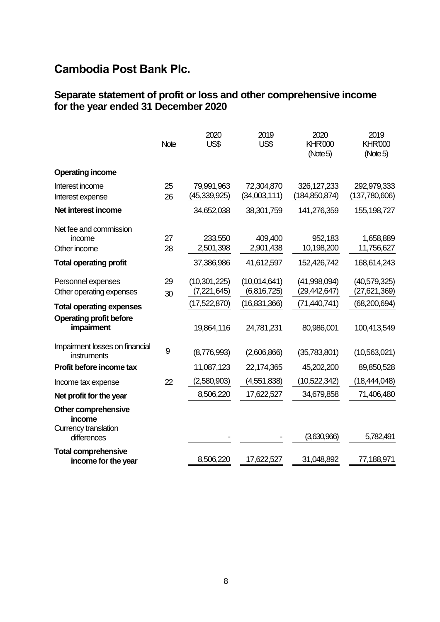#### **Separate statement of profit or loss and other comprehensive income for the year ended 31 December 2020**

|                                                              | Note             | 2020<br>US\$                  | 2019<br>US\$                | 2020<br><b>KHR'000</b><br>(Note 5) | 2019<br><b>KHR'000</b><br>(Note 5) |
|--------------------------------------------------------------|------------------|-------------------------------|-----------------------------|------------------------------------|------------------------------------|
| <b>Operating income</b>                                      |                  |                               |                             |                                    |                                    |
| Interest income<br>Interest expense                          | 25<br>26         | 79,991,963<br>(45, 339, 925)  | 72,304,870<br>(34,003,111)  | 326, 127, 233<br>(184, 850, 874)   | 292,979,333<br>(137,780,606)       |
| Net interest income                                          |                  | 34,652,038                    | 38,301,759                  | 141,276,359                        | 155, 198, 727                      |
| Net fee and commission<br>income<br>Other income             | 27<br>28         | 233,550<br>2,501,398          | 409,400<br>2,901,438        | 952,183<br>10,198,200              | 1,658,889<br>11,756,627            |
| <b>Total operating profit</b>                                |                  | 37,386,986                    | 41,612,597                  | 152,426,742                        | 168,614,243                        |
| Personnel expenses<br>Other operating expenses               | 29<br>30         | (10, 301, 225)<br>(7,221,645) | (10,014,641)<br>(6,816,725) | (41,998,094)<br>(29, 442, 647)     | (40, 579, 325)<br>(27, 621, 369)   |
| <b>Total operating expenses</b>                              |                  | (17,522,870)                  | (16,831,366)                | (71, 440, 741)                     | (68, 200, 694)                     |
| <b>Operating profit before</b><br>impairment                 |                  | 19,864,116                    | 24,781,231                  | 80,986,001                         | 100,413,549                        |
| Impairment losses on financial<br>instruments                | $\boldsymbol{9}$ | (8,776,993)                   | (2,606,866)                 | (35,783,801)                       | (10,563,021)                       |
| Profit before income tax                                     |                  | 11,087,123                    | 22,174,365                  | 45,202,200                         | 89,850,528                         |
| Income tax expense                                           | 22               | (2,580,903)                   | (4,551,838)                 | (10,522,342)                       | (18, 444, 048)                     |
| Net profit for the year                                      |                  | 8,506,220                     | 17,622,527                  | 34,679,858                         | 71,406,480                         |
| <b>Other comprehensive</b><br>income<br>Currency translation |                  |                               |                             |                                    |                                    |
| differences                                                  |                  |                               |                             | (3,630,966)                        | 5,782,491                          |
| <b>Total comprehensive</b><br>income for the year            |                  | 8,506,220                     | 17,622,527                  | 31,048,892                         | 77,188,971                         |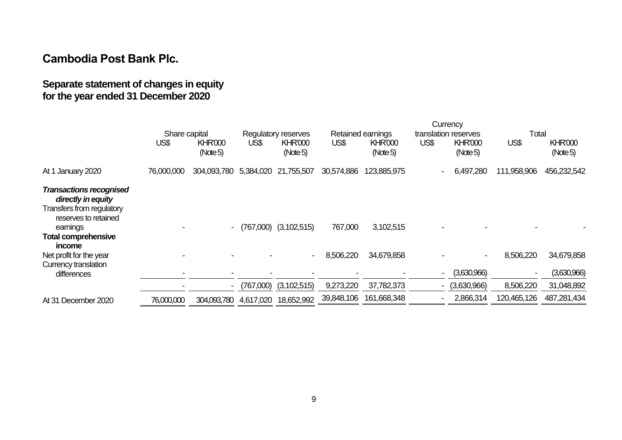### **Separate statement of changes in equity for the year ended 31 December 2020**

|                                                                                                                                                               |               |                           |           | Currency                   |                   |                            |                          |                            |              |                            |
|---------------------------------------------------------------------------------------------------------------------------------------------------------------|---------------|---------------------------|-----------|----------------------------|-------------------|----------------------------|--------------------------|----------------------------|--------------|----------------------------|
|                                                                                                                                                               | Share capital |                           |           | Regulatory reserves        | Retained earnings |                            | translation reserves     |                            | <b>Total</b> |                            |
|                                                                                                                                                               | US\$          | <b>KHR'000</b><br>(Note5) | US\$      | <b>KHR'000</b><br>(Note 5) | US\$              | <b>KHR'000</b><br>(Note 5) | US\$                     | <b>KHR'000</b><br>(Note 5) | US\$         | <b>KHR'000</b><br>(Note 5) |
| At 1 January 2020                                                                                                                                             | 76,000,000    | 304,093,780               | 5,384,020 | 21,755,507                 | 30,574,886        | 123,885,975                | ۰.                       | 6,497,280                  | 111,958,906  | 456,232,542                |
| <b>Transactions recognised</b><br>directly in equity<br>Transfers from regulatory<br>reserves to retained<br>earnings<br><b>Total comprehensive</b><br>income |               | $\overline{\phantom{a}}$  | (767,000) | (3, 102, 515)              | 767,000           | 3,102,515                  |                          |                            |              |                            |
| Net profit for the year<br>Currency translation                                                                                                               |               |                           |           |                            | 8,506,220         | 34,679,858                 |                          |                            | 8,506,220    | 34,679,858                 |
| differences                                                                                                                                                   |               |                           |           |                            |                   |                            |                          | (3,630,966)                |              | (3,630,966)                |
|                                                                                                                                                               |               | $\blacksquare$            | (767,000) | (3,102,515)                | 9,273,220         | 37,782,373                 | $\overline{\phantom{0}}$ | (3,630,966)                | 8,506,220    | 31,048,892                 |
| At 31 December 2020                                                                                                                                           | 76,000,000    | 304,093,780               | 4,617,020 | 18,652,992                 | 39,848,106        | 161,668,348                |                          | 2,866,314                  | 120,465,126  | 487,281,434                |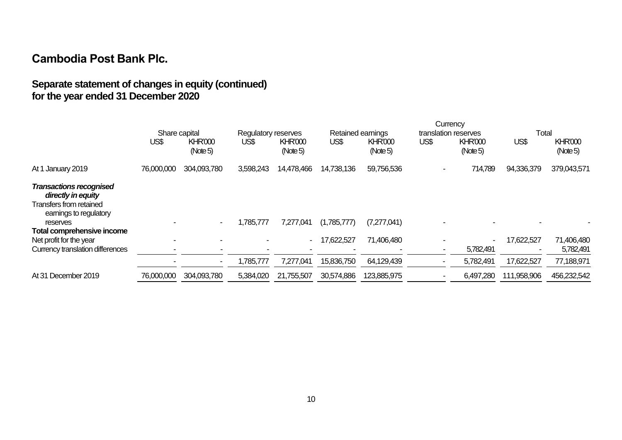### **Separate statement of changes in equity (continued) for the year ended 31 December 2020**

|                                                                                                           |               |                            |           |                            |             | Currency                   |      |                            |             |                            |
|-----------------------------------------------------------------------------------------------------------|---------------|----------------------------|-----------|----------------------------|-------------|----------------------------|------|----------------------------|-------------|----------------------------|
|                                                                                                           | Share capital |                            |           | Regulatory reserves        |             | Retained earnings          |      | translation reserves       | Total       |                            |
|                                                                                                           | US\$          | <b>KHR'000</b><br>(Note 5) | US\$      | <b>KHR'000</b><br>(Note 5) | US\$        | <b>KHR'000</b><br>(Note 5) | US\$ | <b>KHR'000</b><br>(Note 5) | US\$        | <b>KHR'000</b><br>(Note 5) |
| At 1 January 2019                                                                                         | 76,000,000    | 304,093,780                | 3,598,243 | 14,478,466                 | 14,738,136  | 59,756,536                 |      | 714,789                    | 94,336,379  | 379,043,571                |
| <b>Transactions recognised</b><br>directly in equity<br>Transfers from retained<br>earnings to regulatory |               |                            |           |                            |             |                            |      |                            |             |                            |
| reserves<br>Total comprehensive income                                                                    |               | $\blacksquare$             | 1,785,777 | 7,277,041                  | (1,785,777) | (7,277,041)                |      |                            |             |                            |
| Net profit for the year<br>Currency translation differences                                               |               |                            |           | $\blacksquare$             | 17,622,527  | 71,406,480                 |      | 5,782,491                  | 17,622,527  | 71,406,480<br>5,782,491    |
|                                                                                                           |               | $\blacksquare$             | 1,785,777 | 7,277,041                  | 15,836,750  | 64,129,439                 |      | 5,782,491                  | 17,622,527  | 77,188,971                 |
| At 31 December 2019                                                                                       | 76,000,000    | 304,093,780                | 5,384,020 | 21,755,507                 | 30,574,886  | 123,885,975                |      | 6,497,280                  | 111,958,906 | 456,232,542                |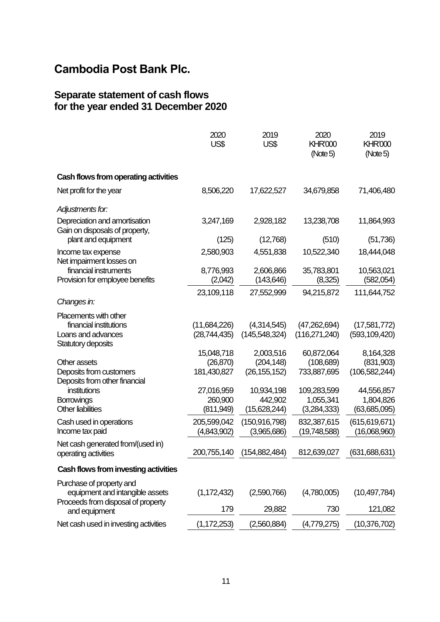#### **Separate statement of cash flows for the year ended 31 December 2020**

|                                                                 | 2020<br>US\$               | 2019<br>US\$                   | 2020<br><b>KHR'000</b><br>(Note 5) | 2019<br><b>KHR'000</b><br>(Note 5) |
|-----------------------------------------------------------------|----------------------------|--------------------------------|------------------------------------|------------------------------------|
| Cash flows from operating activities                            |                            |                                |                                    |                                    |
| Net profit for the year                                         | 8,506,220                  | 17,622,527                     | 34,679,858                         | 71,406,480                         |
| Adjustments for:                                                |                            |                                |                                    |                                    |
| Depreciation and amortisation<br>Gain on disposals of property, | 3,247,169                  | 2,928,182                      | 13,238,708                         | 11,864,993                         |
| plant and equipment                                             | (125)                      | (12,768)                       | (510)                              | (51, 736)                          |
| Income tax expense<br>Net impairment losses on                  | 2,580,903                  | 4,551,838                      | 10,522,340                         | 18,444,048                         |
| financial instruments<br>Provision for employee benefits        | 8,776,993<br>(2,042)       | 2,606,866<br>(143, 646)        | 35,783,801<br>(8,325)              | 10,563,021<br>(582,054)            |
|                                                                 | 23,109,118                 | 27,552,999                     | 94,215,872                         | 111,644,752                        |
| Changes in:                                                     |                            |                                |                                    |                                    |
| Placements with other<br>financial institutions                 | (11,684,226)               | (4,314,545)                    | (47,262,694)                       | (17,581,772)                       |
| Loans and advances<br>Statutory deposits                        | (28,744,435)               | (145,548,324)                  | (116, 271, 240)                    | (593, 109, 420)                    |
|                                                                 | 15,048,718                 | 2,003,516                      | 60,872,064                         | 8,164,328                          |
| Other assets                                                    | (26, 870)                  | (204, 148)                     | (108, 689)                         | (831,903)                          |
| Deposits from customers<br>Deposits from other financial        | 181,430,827                | (26, 155, 152)                 | 733,887,695                        | (106, 582, 244)                    |
| institutions                                                    | 27,016,959                 | 10,934,198                     | 109,283,599                        | 44,556,857                         |
| Borrowings<br><b>Other liabilities</b>                          | 260,900<br>(811,949)       | 442,902<br>(15,628,244)        | 1,055,341<br>(3,284,333)           | 1,804,826<br>(63,685,095)          |
| Cash used in operations<br>Income tax paid                      | 205,599,042<br>(4,843,902) | (150, 916, 798)<br>(3,965,686) | 832,387,615<br>(19,748,588)        | (615, 619, 671)<br>(16,068,960)    |
| Net cash generated from/(used in)                               |                            |                                |                                    |                                    |
| operating activities                                            | 200,755,140                | (154, 882, 484)                | 812,639,027                        | (631, 688, 631)                    |
| Cash flows from investing activities                            |                            |                                |                                    |                                    |
| Purchase of property and<br>equipment and intangible assets     | (1, 172, 432)              | (2,590,766)                    | (4,780,005)                        | (10, 497, 784)                     |
| Proceeds from disposal of property<br>and equipment             | 179                        | 29,882                         | 730                                | 121,082                            |
| Net cash used in investing activities                           | (1, 172, 253)              | (2,560,884)                    | (4,779,275)                        | (10, 376, 702)                     |